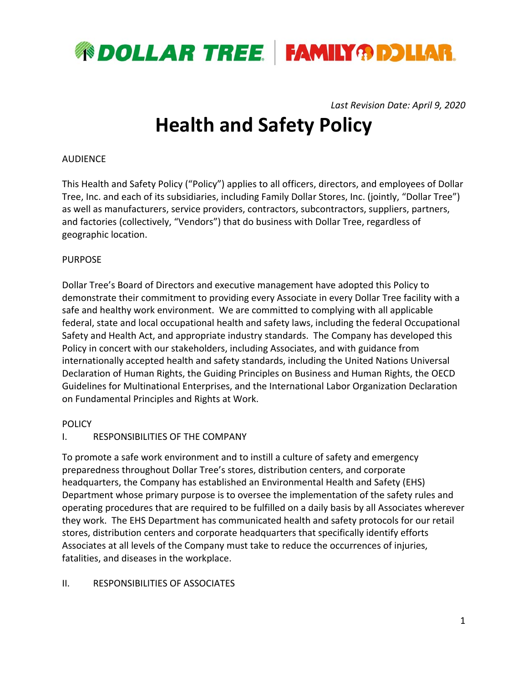

*Last Revision Date: April 9, 2020* 

# **Health and Safety Policy**

#### AUDIENCE

This Health and Safety Policy ("Policy") applies to all officers, directors, and employees of Dollar Tree, Inc. and each of its subsidiaries, including Family Dollar Stores, Inc. (jointly, "Dollar Tree") as well as manufacturers, service providers, contractors, subcontractors, suppliers, partners, and factories (collectively, "Vendors") that do business with Dollar Tree, regardless of geographic location.

#### PURPOSE

Dollar Tree's Board of Directors and executive management have adopted this Policy to demonstrate their commitment to providing every Associate in every Dollar Tree facility with a safe and healthy work environment. We are committed to complying with all applicable federal, state and local occupational health and safety laws, including the federal Occupational Safety and Health Act, and appropriate industry standards. The Company has developed this Policy in concert with our stakeholders, including Associates, and with guidance from internationally accepted health and safety standards, including the United Nations Universal Declaration of Human Rights, the Guiding Principles on Business and Human Rights, the OECD Guidelines for Multinational Enterprises, and the International Labor Organization Declaration on Fundamental Principles and Rights at Work.

## **POLICY**

## I. RESPONSIBILITIES OF THE COMPANY

To promote a safe work environment and to instill a culture of safety and emergency preparedness throughout Dollar Tree's stores, distribution centers, and corporate headquarters, the Company has established an Environmental Health and Safety (EHS) Department whose primary purpose is to oversee the implementation of the safety rules and operating procedures that are required to be fulfilled on a daily basis by all Associates wherever they work. The EHS Department has communicated health and safety protocols for our retail stores, distribution centers and corporate headquarters that specifically identify efforts Associates at all levels of the Company must take to reduce the occurrences of injuries, fatalities, and diseases in the workplace.

#### II. RESPONSIBILITIES OF ASSOCIATES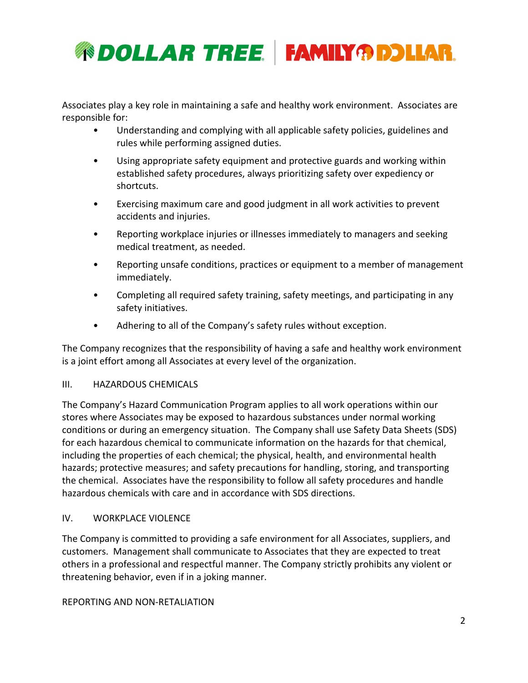

Associates play a key role in maintaining a safe and healthy work environment. Associates are responsible for:

- Understanding and complying with all applicable safety policies, guidelines and rules while performing assigned duties.
- Using appropriate safety equipment and protective guards and working within established safety procedures, always prioritizing safety over expediency or shortcuts.
- Exercising maximum care and good judgment in all work activities to prevent accidents and injuries.
- Reporting workplace injuries or illnesses immediately to managers and seeking medical treatment, as needed.
- Reporting unsafe conditions, practices or equipment to a member of management immediately.
- Completing all required safety training, safety meetings, and participating in any safety initiatives.
- Adhering to all of the Company's safety rules without exception.

The Company recognizes that the responsibility of having a safe and healthy work environment is a joint effort among all Associates at every level of the organization.

## III. HAZARDOUS CHEMICALS

The Company's Hazard Communication Program applies to all work operations within our stores where Associates may be exposed to hazardous substances under normal working conditions or during an emergency situation. The Company shall use Safety Data Sheets (SDS) for each hazardous chemical to communicate information on the hazards for that chemical, including the properties of each chemical; the physical, health, and environmental health hazards; protective measures; and safety precautions for handling, storing, and transporting the chemical. Associates have the responsibility to follow all safety procedures and handle hazardous chemicals with care and in accordance with SDS directions.

## IV. WORKPLACE VIOLENCE

The Company is committed to providing a safe environment for all Associates, suppliers, and customers. Management shall communicate to Associates that they are expected to treat others in a professional and respectful manner. The Company strictly prohibits any violent or threatening behavior, even if in a joking manner.

#### REPORTING AND NON‐RETALIATION